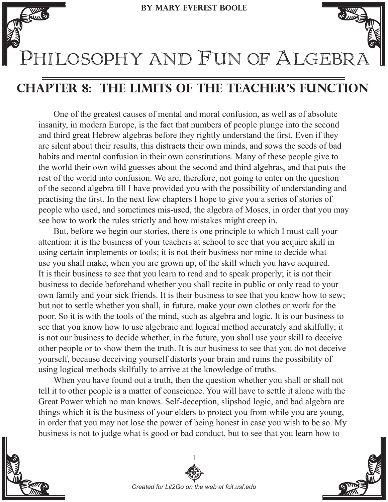**BY MARY EVEREST BOOLE** 



HLOSOPHY AND FUN OF ALGEBRA

## **CHAPTER 8: THE LIMITS OF THE TEACHER'S FUNCTION**

One of the greatest causes of mental and moral confusion, as well as of absolute insanity, in modern Europe, is the fact that numbers of people plunge into the second and third great Hebrew algebras before they rightly understand the first. Even if they are silent about their results, this distracts their own minds, and sows the seeds of bad habits and mental confusion in their own constitutions. Many of these people give to the world their own wild guesses about the second and third algebras, and that puts the rest of the world into confusion. We are, therefore, not going to enter on the question of the second algebra till I have provided you with the possibility of understanding and practising the first. In the next few chapters I hope to give you a series of stories of people who used, and sometimes mis-used, the algebra of Moses, in order that you may see how to work the rules strictly and how mistakes might creep in.

But, before we begin our stories, there is one principle to which I must call your attention: it is the business of your teachers at school to see that you acquire skill in using certain implements or tools; it is not their business nor mine to decide what use you shall make, when you are grown up, of the skill which you have acquired. It is their business to see that you learn to read and to speak properly; it is not their business to decide beforehand whether you shall recite in public or only read to your own family and your sick friends. It is their business to see that you know how to sew; but not to settle whether you shall, in future, make your own clothes or work for the poor. So it is with the tools of the mind, such as algebra and logic. It is our business to see that you know how to use algebraic and logical method accurately and skilfully; it is not our business to decide whether, in the future, you shall use your skill to deceive other people or to show them the truth. It is our business to see that you do not deceive yourself, because deceiving yourself distorts your brain and ruins the possibility of using logical methods skilfully to arrive at the knowledge of truths.

When you have found out a truth, then the question whether you shall or shall not tell it to other people is a matter of conscience. You will have to settle it alone with the Great Power which no man knows. Self-deception, slipshod logic, and bad algebra are things which it is the business of your elders to protect you from while you are young, in order that you may not lose the power of being honest in case you wish to be so. My business is not to judge what is good or bad conduct, but to see that you learn how to